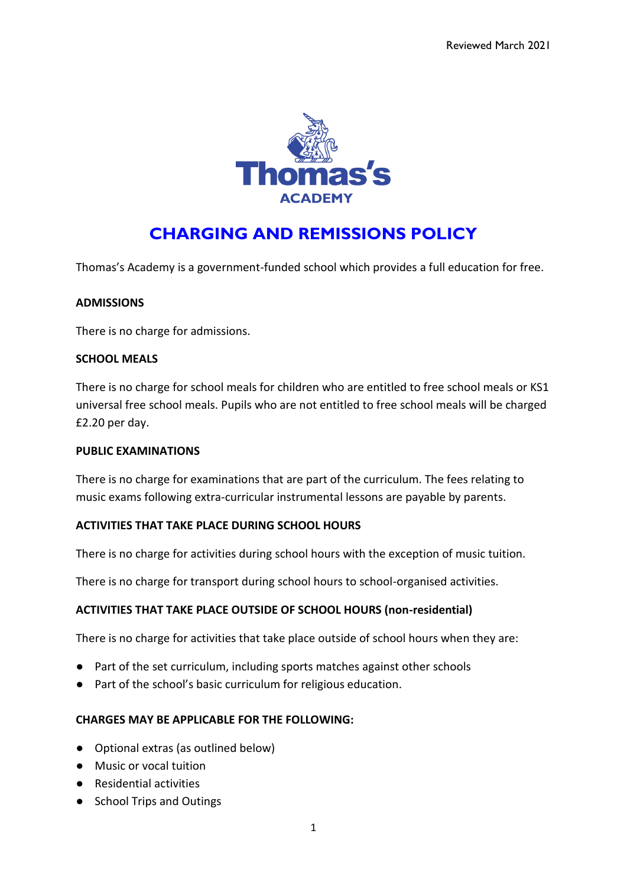

# **CHARGING AND REMISSIONS POLICY**

Thomas's Academy is a government-funded school which provides a full education for free.

#### **ADMISSIONS**

There is no charge for admissions.

#### **SCHOOL MEALS**

There is no charge for school meals for children who are entitled to free school meals or KS1 universal free school meals. Pupils who are not entitled to free school meals will be charged £2.20 per day.

#### **PUBLIC EXAMINATIONS**

There is no charge for examinations that are part of the curriculum. The fees relating to music exams following extra-curricular instrumental lessons are payable by parents.

#### **ACTIVITIES THAT TAKE PLACE DURING SCHOOL HOURS**

There is no charge for activities during school hours with the exception of music tuition.

There is no charge for transport during school hours to school-organised activities.

#### **ACTIVITIES THAT TAKE PLACE OUTSIDE OF SCHOOL HOURS (non-residential)**

There is no charge for activities that take place outside of school hours when they are:

- Part of the set curriculum, including sports matches against other schools
- Part of the school's basic curriculum for religious education.

#### **CHARGES MAY BE APPLICABLE FOR THE FOLLOWING:**

- Optional extras (as outlined below)
- Music or vocal tuition
- Residential activities
- School Trips and Outings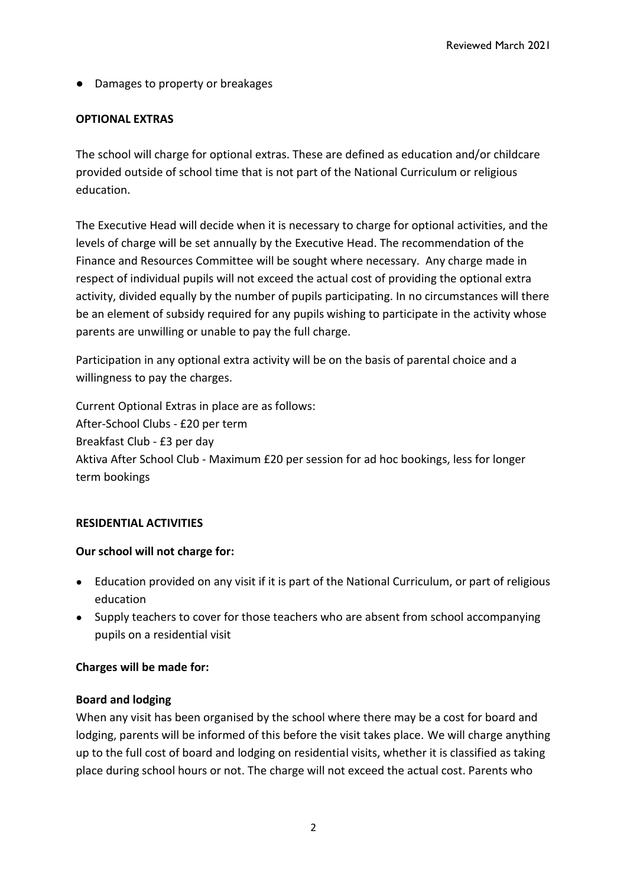● Damages to property or breakages

## **OPTIONAL EXTRAS**

The school will charge for optional extras. These are defined as education and/or childcare provided outside of school time that is not part of the National Curriculum or religious education.

The Executive Head will decide when it is necessary to charge for optional activities, and the levels of charge will be set annually by the Executive Head. The recommendation of the Finance and Resources Committee will be sought where necessary. Any charge made in respect of individual pupils will not exceed the actual cost of providing the optional extra activity, divided equally by the number of pupils participating. In no circumstances will there be an element of subsidy required for any pupils wishing to participate in the activity whose parents are unwilling or unable to pay the full charge.

Participation in any optional extra activity will be on the basis of parental choice and a willingness to pay the charges.

Current Optional Extras in place are as follows: After-School Clubs - £20 per term Breakfast Club - £3 per day Aktiva After School Club - Maximum £20 per session for ad hoc bookings, less for longer term bookings

## **RESIDENTIAL ACTIVITIES**

# **Our school will not charge for:**

- Education provided on any visit if it is part of the National Curriculum, or part of religious education
- Supply teachers to cover for those teachers who are absent from school accompanying pupils on a residential visit

## **Charges will be made for:**

## **Board and lodging**

When any visit has been organised by the school where there may be a cost for board and lodging, parents will be informed of this before the visit takes place. We will charge anything up to the full cost of board and lodging on residential visits, whether it is classified as taking place during school hours or not. The charge will not exceed the actual cost. Parents who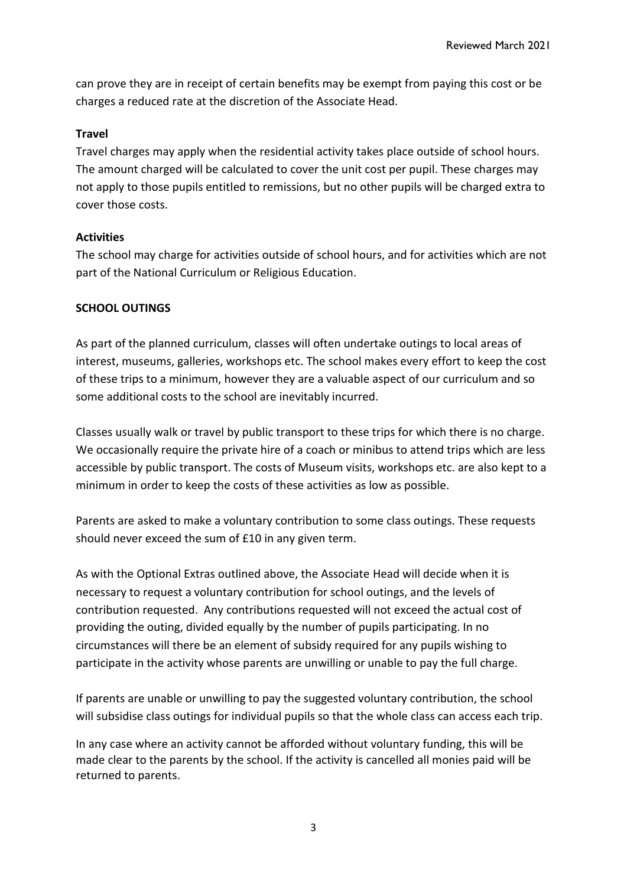can prove they are in receipt of certain benefits may be exempt from paying this cost or be charges a reduced rate at the discretion of the Associate Head.

### **Travel**

Travel charges may apply when the residential activity takes place outside of school hours. The amount charged will be calculated to cover the unit cost per pupil. These charges may not apply to those pupils entitled to remissions, but no other pupils will be charged extra to cover those costs.

## **Activities**

The school may charge for activities outside of school hours, and for activities which are not part of the National Curriculum or Religious Education.

## **SCHOOL OUTINGS**

As part of the planned curriculum, classes will often undertake outings to local areas of interest, museums, galleries, workshops etc. The school makes every effort to keep the cost of these trips to a minimum, however they are a valuable aspect of our curriculum and so some additional costs to the school are inevitably incurred.

Classes usually walk or travel by public transport to these trips for which there is no charge. We occasionally require the private hire of a coach or minibus to attend trips which are less accessible by public transport. The costs of Museum visits, workshops etc. are also kept to a minimum in order to keep the costs of these activities as low as possible.

Parents are asked to make a voluntary contribution to some class outings. These requests should never exceed the sum of £10 in any given term.

As with the Optional Extras outlined above, the Associate Head will decide when it is necessary to request a voluntary contribution for school outings, and the levels of contribution requested. Any contributions requested will not exceed the actual cost of providing the outing, divided equally by the number of pupils participating. In no circumstances will there be an element of subsidy required for any pupils wishing to participate in the activity whose parents are unwilling or unable to pay the full charge.

If parents are unable or unwilling to pay the suggested voluntary contribution, the school will subsidise class outings for individual pupils so that the whole class can access each trip.

In any case where an activity cannot be afforded without voluntary funding, this will be made clear to the parents by the school. If the activity is cancelled all monies paid will be returned to parents.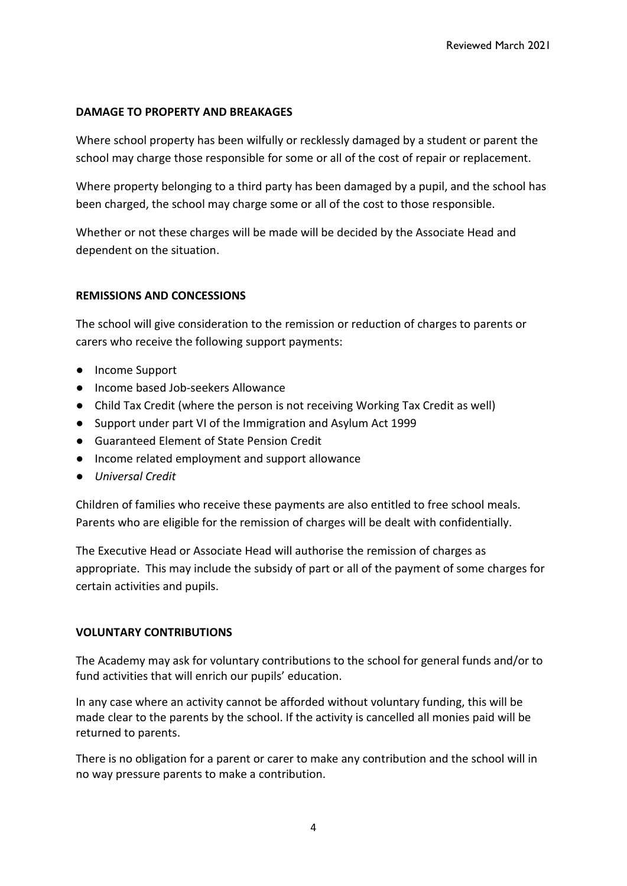### **DAMAGE TO PROPERTY AND BREAKAGES**

Where school property has been wilfully or recklessly damaged by a student or parent the school may charge those responsible for some or all of the cost of repair or replacement.

Where property belonging to a third party has been damaged by a pupil, and the school has been charged, the school may charge some or all of the cost to those responsible.

Whether or not these charges will be made will be decided by the Associate Head and dependent on the situation.

## **REMISSIONS AND CONCESSIONS**

The school will give consideration to the remission or reduction of charges to parents or carers who receive the following support payments:

- Income Support
- Income based Job-seekers Allowance
- Child Tax Credit (where the person is not receiving Working Tax Credit as well)
- Support under part VI of the Immigration and Asylum Act 1999
- Guaranteed Element of State Pension Credit
- Income related employment and support allowance
- *Universal Credit*

Children of families who receive these payments are also entitled to free school meals. Parents who are eligible for the remission of charges will be dealt with confidentially.

The Executive Head or Associate Head will authorise the remission of charges as appropriate. This may include the subsidy of part or all of the payment of some charges for certain activities and pupils.

#### **VOLUNTARY CONTRIBUTIONS**

The Academy may ask for voluntary contributions to the school for general funds and/or to fund activities that will enrich our pupils' education.

In any case where an activity cannot be afforded without voluntary funding, this will be made clear to the parents by the school. If the activity is cancelled all monies paid will be returned to parents.

There is no obligation for a parent or carer to make any contribution and the school will in no way pressure parents to make a contribution.